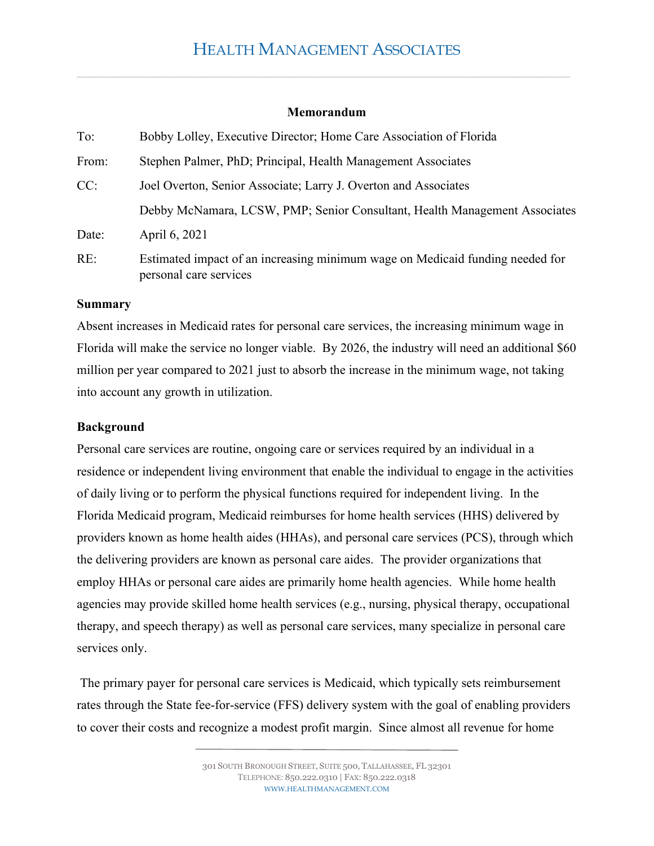#### **Memorandum**

| To:   | Bobby Lolley, Executive Director; Home Care Association of Florida                                      |
|-------|---------------------------------------------------------------------------------------------------------|
| From: | Stephen Palmer, PhD; Principal, Health Management Associates                                            |
| CC:   | Joel Overton, Senior Associate; Larry J. Overton and Associates                                         |
|       | Debby McNamara, LCSW, PMP; Senior Consultant, Health Management Associates                              |
| Date: | April 6, 2021                                                                                           |
| RE:   | Estimated impact of an increasing minimum wage on Medicaid funding needed for<br>personal care services |

#### **Summary**

Absent increases in Medicaid rates for personal care services, the increasing minimum wage in Florida will make the service no longer viable. By 2026, the industry will need an additional \$60 million per year compared to 2021 just to absorb the increase in the minimum wage, not taking into account any growth in utilization.

#### **Background**

Personal care services are routine, ongoing care or services required by an individual in a residence or independent living environment that enable the individual to engage in the activities of daily living or to perform the physical functions required for independent living. In the Florida Medicaid program, Medicaid reimburses for home health services (HHS) delivered by providers known as home health aides (HHAs), and personal care services (PCS), through which the delivering providers are known as personal care aides. The provider organizations that employ HHAs or personal care aides are primarily home health agencies. While home health agencies may provide skilled home health services (e.g., nursing, physical therapy, occupational therapy, and speech therapy) as well as personal care services, many specialize in personal care services only.

 The primary payer for personal care services is Medicaid, which typically sets reimbursement rates through the State fee-for-service (FFS) delivery system with the goal of enabling providers to cover their costs and recognize a modest profit margin. Since almost all revenue for home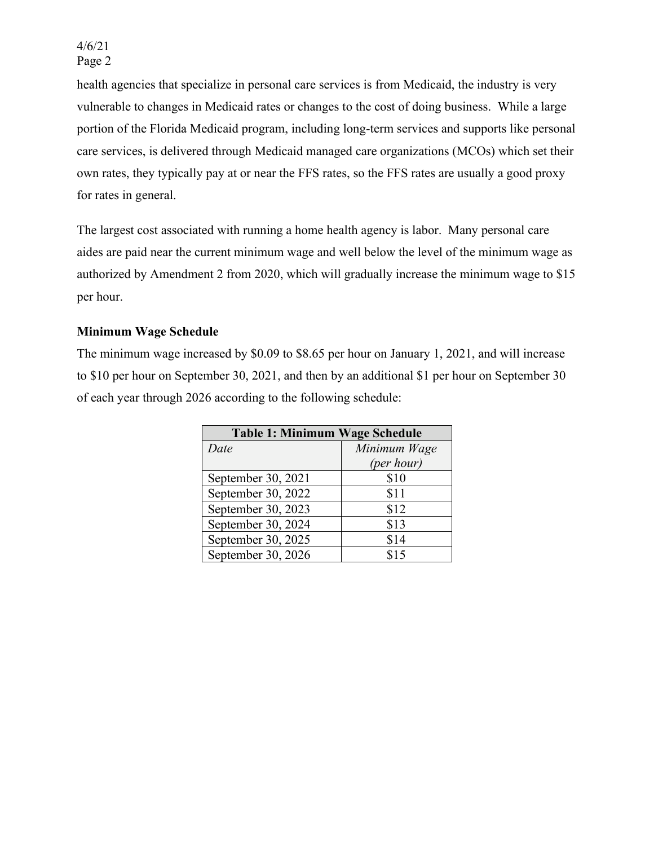health agencies that specialize in personal care services is from Medicaid, the industry is very vulnerable to changes in Medicaid rates or changes to the cost of doing business. While a large portion of the Florida Medicaid program, including long-term services and supports like personal care services, is delivered through Medicaid managed care organizations (MCOs) which set their own rates, they typically pay at or near the FFS rates, so the FFS rates are usually a good proxy for rates in general.

The largest cost associated with running a home health agency is labor. Many personal care aides are paid near the current minimum wage and well below the level of the minimum wage as authorized by Amendment 2 from 2020, which will gradually increase the minimum wage to \$15 per hour.

## **Minimum Wage Schedule**

The minimum wage increased by \$0.09 to \$8.65 per hour on January 1, 2021, and will increase to \$10 per hour on September 30, 2021, and then by an additional \$1 per hour on September 30 of each year through 2026 according to the following schedule:

| <b>Table 1: Minimum Wage Schedule</b> |              |  |  |
|---------------------------------------|--------------|--|--|
| Date                                  | Minimum Wage |  |  |
|                                       | (per hour)   |  |  |
| September 30, 2021                    | \$10         |  |  |
| September 30, 2022                    | \$11         |  |  |
| September 30, 2023                    | \$12         |  |  |
| September 30, 2024                    | \$13         |  |  |
| September 30, 2025                    | \$14         |  |  |
| September 30, 2026                    | \$15         |  |  |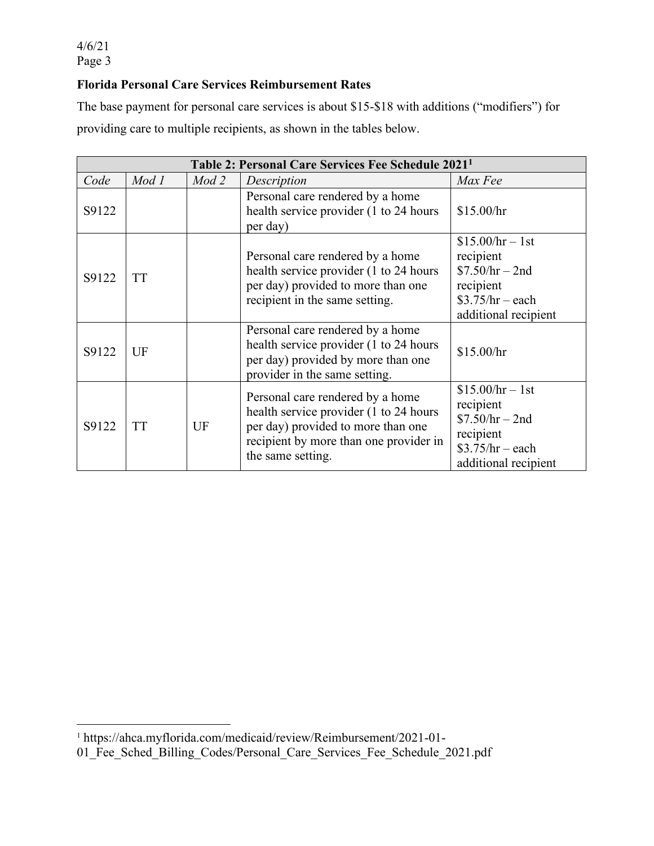## **Florida Personal Care Services Reimbursement Rates**

The base payment for personal care services is about \$15-\$18 with additions ("modifiers") for providing care to multiple recipients, as shown in the tables below.

| Table 2: Personal Care Services Fee Schedule 2021 <sup>1</sup> |           |       |                                                                                                                                                                                  |                                                                                                              |
|----------------------------------------------------------------|-----------|-------|----------------------------------------------------------------------------------------------------------------------------------------------------------------------------------|--------------------------------------------------------------------------------------------------------------|
| Code                                                           | Mod 1     | Mod 2 | Description                                                                                                                                                                      | Max Fee                                                                                                      |
| S9122                                                          |           |       | Personal care rendered by a home<br>health service provider (1 to 24 hours)<br>per day)                                                                                          | \$15.00/hr                                                                                                   |
| S9122                                                          | <b>TT</b> |       | Personal care rendered by a home<br>health service provider (1 to 24 hours)<br>per day) provided to more than one<br>recipient in the same setting.                              | $$15.00/hr - 1st$<br>recipient<br>$$7.50/hr - 2nd$<br>recipient<br>$$3.75/hr - each$<br>additional recipient |
| S9122                                                          | UF        |       | Personal care rendered by a home<br>health service provider (1 to 24 hours)<br>per day) provided by more than one<br>provider in the same setting.                               | \$15.00/hr                                                                                                   |
| S9122                                                          | <b>TT</b> | UF    | Personal care rendered by a home<br>health service provider (1 to 24 hours)<br>per day) provided to more than one<br>recipient by more than one provider in<br>the same setting. | $$15.00/hr - 1st$<br>recipient<br>$$7.50/hr - 2nd$<br>recipient<br>$$3.75/hr - each$<br>additional recipient |

<sup>1</sup> https://ahca.myflorida.com/medicaid/review/Reimbursement/2021-01-

<sup>01</sup>\_Fee\_Sched\_Billing\_Codes/Personal\_Care\_Services\_Fee\_Schedule\_2021.pdf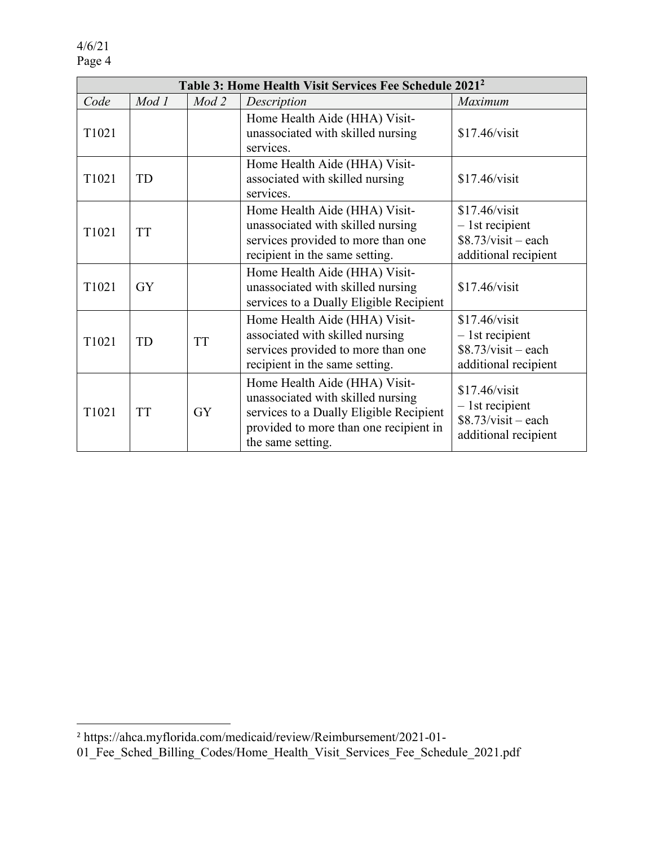| Table 3: Home Health Visit Services Fee Schedule 2021 <sup>2</sup> |           |           |                                                                                                                                                                              |                                                                                    |
|--------------------------------------------------------------------|-----------|-----------|------------------------------------------------------------------------------------------------------------------------------------------------------------------------------|------------------------------------------------------------------------------------|
| Code                                                               | Mod 1     | Mod 2     | Description                                                                                                                                                                  | Maximum                                                                            |
| T1021                                                              |           |           | Home Health Aide (HHA) Visit-<br>unassociated with skilled nursing<br>services.                                                                                              | \$17.46/visit                                                                      |
| T1021                                                              | TD        |           | Home Health Aide (HHA) Visit-<br>associated with skilled nursing<br>services.                                                                                                | \$17.46/visit                                                                      |
| T1021                                                              | <b>TT</b> |           | Home Health Aide (HHA) Visit-<br>unassociated with skilled nursing<br>services provided to more than one<br>recipient in the same setting.                                   | \$17.46/visit<br>$-1$ st recipient<br>$$8.73/visit - each$<br>additional recipient |
| T <sub>1021</sub>                                                  | <b>GY</b> |           | Home Health Aide (HHA) Visit-<br>unassociated with skilled nursing<br>services to a Dually Eligible Recipient                                                                | \$17.46/visit                                                                      |
| T1021                                                              | TD        | <b>TT</b> | Home Health Aide (HHA) Visit-<br>associated with skilled nursing<br>services provided to more than one<br>recipient in the same setting.                                     | \$17.46/visit<br>$-1$ st recipient<br>$$8.73/visit - each$<br>additional recipient |
| T1021                                                              | <b>TT</b> | <b>GY</b> | Home Health Aide (HHA) Visit-<br>unassociated with skilled nursing<br>services to a Dually Eligible Recipient<br>provided to more than one recipient in<br>the same setting. | \$17.46/visit<br>$-1$ st recipient<br>$$8.73/visit - each$<br>additional recipient |

<sup>2</sup> https://ahca.myflorida.com/medicaid/review/Reimbursement/2021-01-

<sup>01</sup>\_Fee\_Sched\_Billing\_Codes/Home\_Health\_Visit\_Services\_Fee\_Schedule\_2021.pdf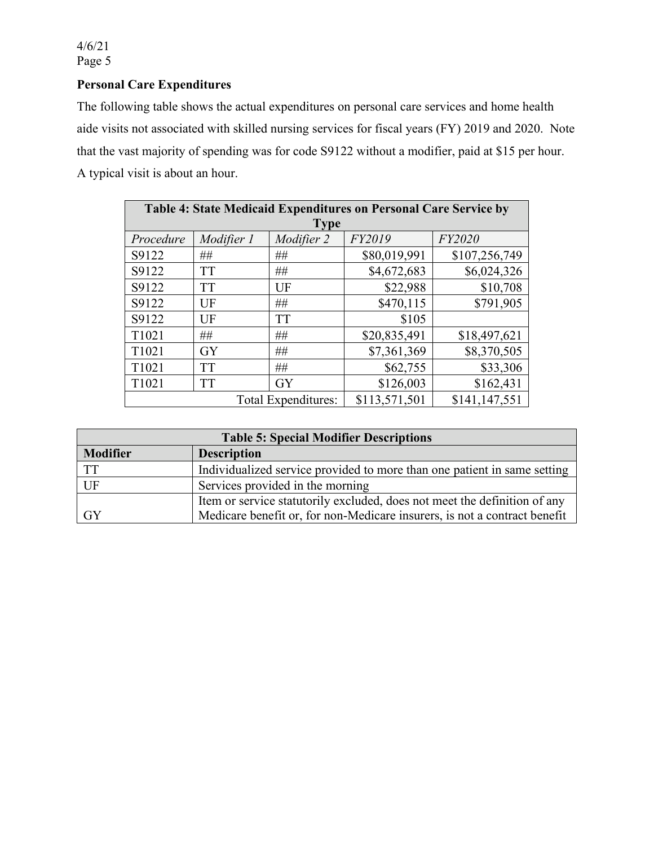# **Personal Care Expenditures**

The following table shows the actual expenditures on personal care services and home health aide visits not associated with skilled nursing services for fiscal years (FY) 2019 and 2020. Note that the vast majority of spending was for code S9122 without a modifier, paid at \$15 per hour. A typical visit is about an hour.

| Table 4: State Medicaid Expenditures on Personal Care Service by |            |                     |               |               |
|------------------------------------------------------------------|------------|---------------------|---------------|---------------|
|                                                                  |            | <b>Type</b>         |               |               |
| Procedure                                                        | Modifier 1 | Modifier 2          | FY2019        | FY2020        |
| S9122                                                            | ##         | ##                  | \$80,019,991  | \$107,256,749 |
| S9122                                                            | <b>TT</b>  | ##                  | \$4,672,683   | \$6,024,326   |
| S9122                                                            | <b>TT</b>  | UF                  | \$22,988      | \$10,708      |
| S9122                                                            | UF         | ##                  | \$470,115     | \$791,905     |
| S9122                                                            | UF         | <b>TT</b>           | \$105         |               |
| T1021                                                            | ##         | ##                  | \$20,835,491  | \$18,497,621  |
| T1021                                                            | <b>GY</b>  | ##                  | \$7,361,369   | \$8,370,505   |
| T1021                                                            | <b>TT</b>  | ##                  | \$62,755      | \$33,306      |
| T1021                                                            | <b>TT</b>  | <b>GY</b>           | \$126,003     | \$162,431     |
|                                                                  |            | Total Expenditures: | \$113,571,501 | \$141,147,551 |

| <b>Table 5: Special Modifier Descriptions</b> |                                                                           |  |  |
|-----------------------------------------------|---------------------------------------------------------------------------|--|--|
| <b>Modifier</b>                               | <b>Description</b>                                                        |  |  |
| TT                                            | Individualized service provided to more than one patient in same setting  |  |  |
| UF                                            | Services provided in the morning                                          |  |  |
|                                               | Item or service statutorily excluded, does not meet the definition of any |  |  |
| <b>GY</b>                                     | Medicare benefit or, for non-Medicare insurers, is not a contract benefit |  |  |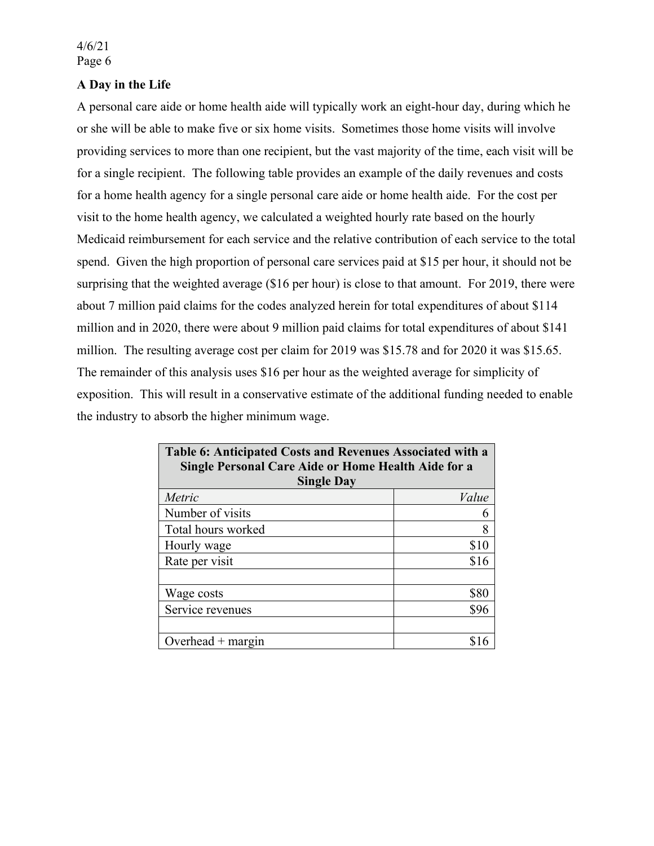### **A Day in the Life**

A personal care aide or home health aide will typically work an eight-hour day, during which he or she will be able to make five or six home visits. Sometimes those home visits will involve providing services to more than one recipient, but the vast majority of the time, each visit will be for a single recipient. The following table provides an example of the daily revenues and costs for a home health agency for a single personal care aide or home health aide. For the cost per visit to the home health agency, we calculated a weighted hourly rate based on the hourly Medicaid reimbursement for each service and the relative contribution of each service to the total spend. Given the high proportion of personal care services paid at \$15 per hour, it should not be surprising that the weighted average (\$16 per hour) is close to that amount. For 2019, there were about 7 million paid claims for the codes analyzed herein for total expenditures of about \$114 million and in 2020, there were about 9 million paid claims for total expenditures of about \$141 million. The resulting average cost per claim for 2019 was \$15.78 and for 2020 it was \$15.65. The remainder of this analysis uses \$16 per hour as the weighted average for simplicity of exposition. This will result in a conservative estimate of the additional funding needed to enable the industry to absorb the higher minimum wage.

| Table 6: Anticipated Costs and Revenues Associated with a<br>Single Personal Care Aide or Home Health Aide for a<br><b>Single Day</b> |       |  |
|---------------------------------------------------------------------------------------------------------------------------------------|-------|--|
| Metric                                                                                                                                | Value |  |
| Number of visits                                                                                                                      | 6     |  |
| Total hours worked                                                                                                                    | 8     |  |
| Hourly wage                                                                                                                           | \$10  |  |
| Rate per visit                                                                                                                        | \$16  |  |
|                                                                                                                                       |       |  |
| Wage costs                                                                                                                            | \$80  |  |
| Service revenues                                                                                                                      | \$96  |  |
|                                                                                                                                       |       |  |
| Overhead $+$ margin                                                                                                                   |       |  |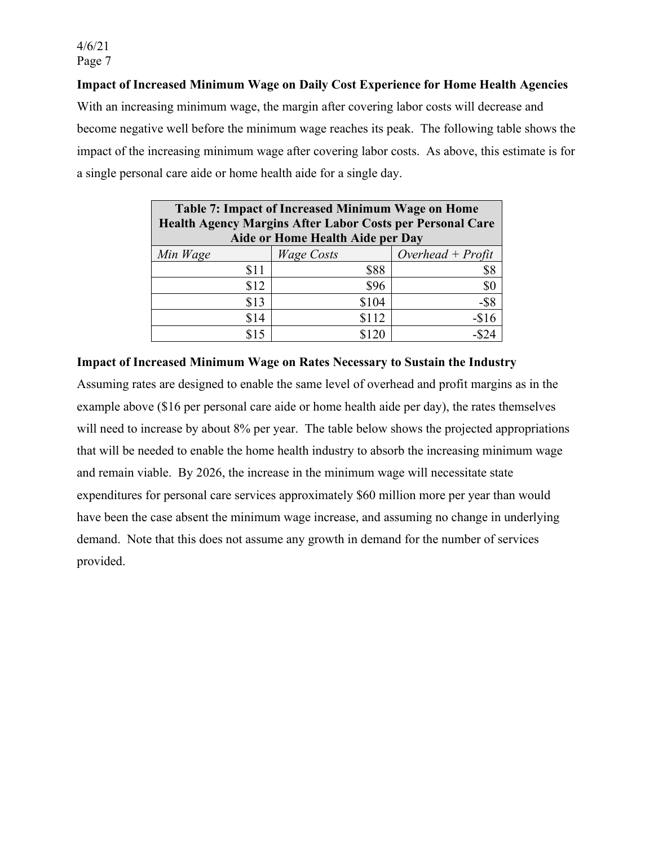### **Impact of Increased Minimum Wage on Daily Cost Experience for Home Health Agencies**

With an increasing minimum wage, the margin after covering labor costs will decrease and become negative well before the minimum wage reaches its peak. The following table shows the impact of the increasing minimum wage after covering labor costs. As above, this estimate is for a single personal care aide or home health aide for a single day.

| <b>Table 7: Impact of Increased Minimum Wage on Home</b>  |                   |                     |  |
|-----------------------------------------------------------|-------------------|---------------------|--|
| Health Agency Margins After Labor Costs per Personal Care |                   |                     |  |
| Aide or Home Health Aide per Day                          |                   |                     |  |
| Min Wage                                                  | <b>Wage Costs</b> | Overhead + $Profit$ |  |
| \$11                                                      | \$88              | \$8                 |  |
| \$12                                                      | \$96              | \$0                 |  |
| \$13                                                      | \$104             | $-$ \$8             |  |
| \$14                                                      | \$112             | $-$16$              |  |
| S 15                                                      | \$120             |                     |  |

**Impact of Increased Minimum Wage on Rates Necessary to Sustain the Industry** 

Assuming rates are designed to enable the same level of overhead and profit margins as in the example above (\$16 per personal care aide or home health aide per day), the rates themselves will need to increase by about 8% per year. The table below shows the projected appropriations that will be needed to enable the home health industry to absorb the increasing minimum wage and remain viable. By 2026, the increase in the minimum wage will necessitate state expenditures for personal care services approximately \$60 million more per year than would have been the case absent the minimum wage increase, and assuming no change in underlying demand. Note that this does not assume any growth in demand for the number of services provided.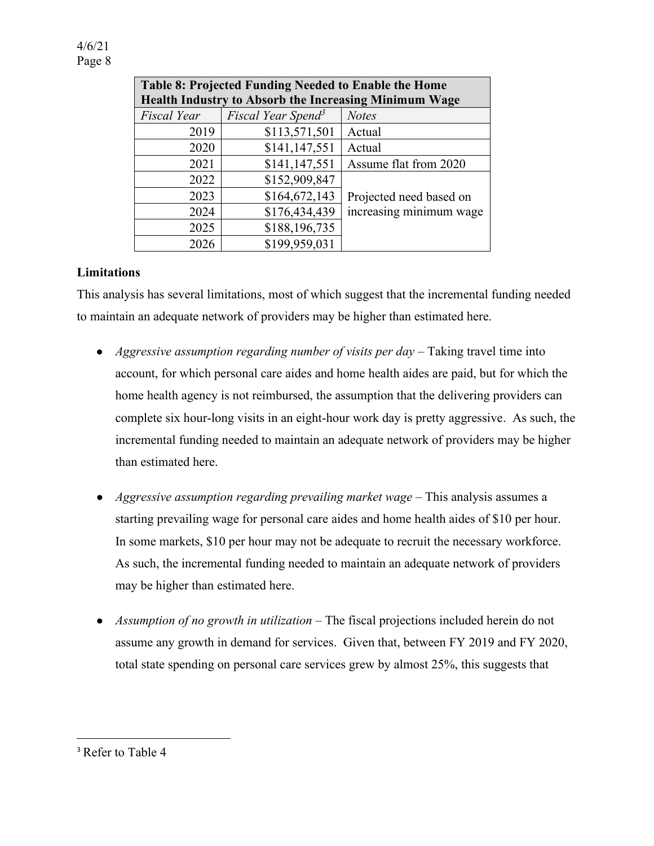| <b>Table 8: Projected Funding Needed to Enable the Home</b> |                                |                         |  |
|-------------------------------------------------------------|--------------------------------|-------------------------|--|
| Health Industry to Absorb the Increasing Minimum Wage       |                                |                         |  |
| Fiscal Year                                                 | Fiscal Year Spend <sup>3</sup> | <b>Notes</b>            |  |
| 2019                                                        | \$113,571,501                  | Actual                  |  |
| 2020                                                        | \$141,147,551                  | Actual                  |  |
| 2021                                                        | \$141,147,551                  | Assume flat from 2020   |  |
| 2022                                                        | \$152,909,847                  |                         |  |
| 2023                                                        | \$164,672,143                  | Projected need based on |  |
| 2024                                                        | \$176,434,439                  | increasing minimum wage |  |
| 2025                                                        | \$188,196,735                  |                         |  |
| 2026                                                        | \$199,959,031                  |                         |  |

### **Limitations**

This analysis has several limitations, most of which suggest that the incremental funding needed to maintain an adequate network of providers may be higher than estimated here.

- *Aggressive assumption regarding number of visits per day* Taking travel time into account, for which personal care aides and home health aides are paid, but for which the home health agency is not reimbursed, the assumption that the delivering providers can complete six hour-long visits in an eight-hour work day is pretty aggressive. As such, the incremental funding needed to maintain an adequate network of providers may be higher than estimated here.
- *Aggressive assumption regarding prevailing market wage* This analysis assumes a starting prevailing wage for personal care aides and home health aides of \$10 per hour. In some markets, \$10 per hour may not be adequate to recruit the necessary workforce. As such, the incremental funding needed to maintain an adequate network of providers may be higher than estimated here.
- *Assumption of no growth in utilization* The fiscal projections included herein do not assume any growth in demand for services. Given that, between FY 2019 and FY 2020, total state spending on personal care services grew by almost 25%, this suggests that

<sup>&</sup>lt;sup>3</sup> Refer to Table 4